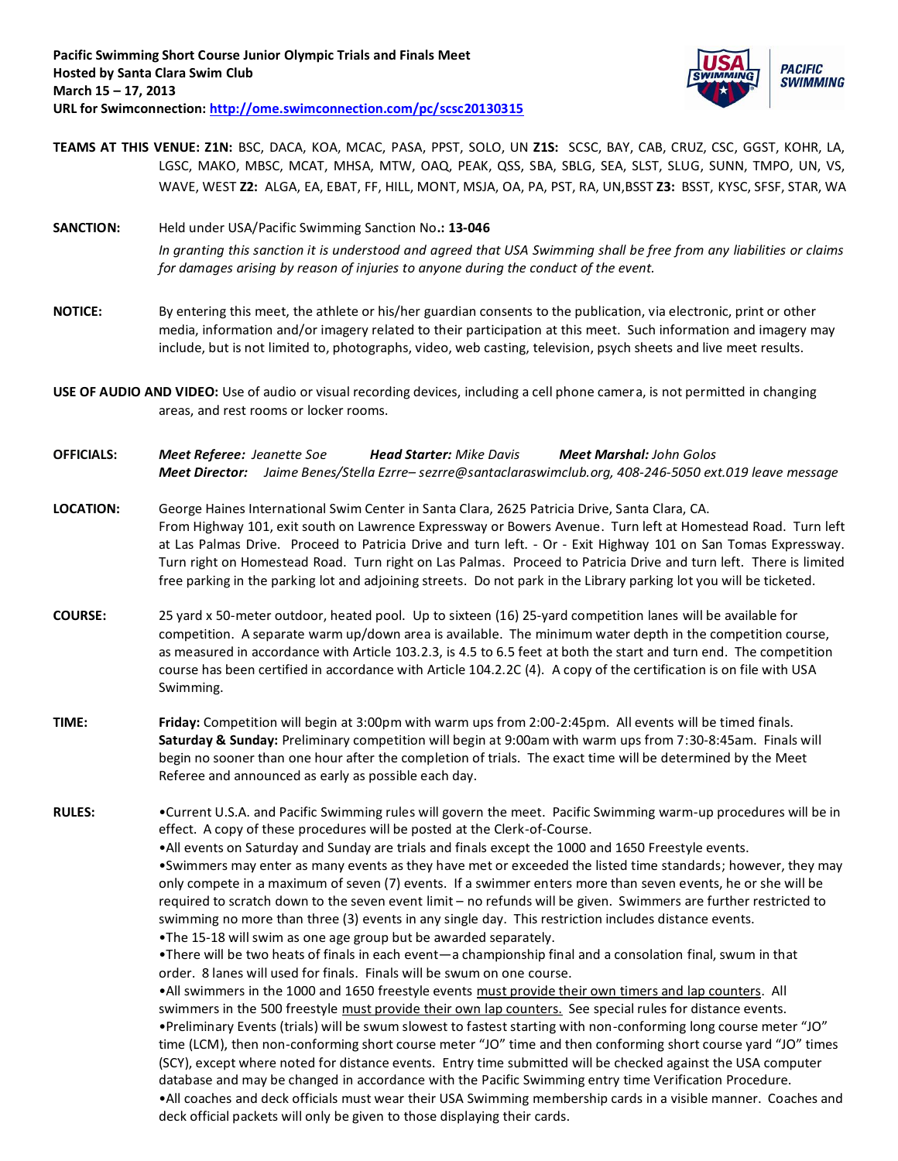

- **TEAMS AT THIS VENUE: Z1N:** BSC, DACA, KOA, MCAC, PASA, PPST, SOLO, UN **Z1S:** SCSC, BAY, CAB, CRUZ, CSC, GGST, KOHR, LA, LGSC, MAKO, MBSC, MCAT, MHSA, MTW, OAQ, PEAK, QSS, SBA, SBLG, SEA, SLST, SLUG, SUNN, TMPO, UN, VS, WAVE, WEST **Z2:** ALGA, EA, EBAT, FF, HILL, MONT, MSJA, OA, PA, PST, RA, UN,BSST **Z3:** BSST, KYSC, SFSF, STAR, WA
- **SANCTION:** Held under USA/Pacific Swimming Sanction No**.: 13-046**  *In granting this sanction it is understood and agreed that USA Swimming shall be free from any liabilities or claims for damages arising by reason of injuries to anyone during the conduct of the event.*
- **NOTICE:** By entering this meet, the athlete or his/her guardian consents to the publication, via electronic, print or other media, information and/or imagery related to their participation at this meet. Such information and imagery may include, but is not limited to, photographs, video, web casting, television, psych sheets and live meet results.
- **USE OF AUDIO AND VIDEO:** Use of audio or visual recording devices, including a cell phone camera, is not permitted in changing areas, and rest rooms or locker rooms.
- **OFFICIALS:** *Meet Referee: Jeanette Soe Head Starter: Mike Davis Meet Marshal: John Golos Meet Director: Jaime Benes/Stella Ezrre– sezrre@santaclaraswimclub.org, 408-246-5050 ext.019 leave message*
- **LOCATION:** George Haines International Swim Center in Santa Clara, 2625 Patricia Drive, Santa Clara, CA. From Highway 101, exit south on Lawrence Expressway or Bowers Avenue. Turn left at Homestead Road. Turn left at Las Palmas Drive. Proceed to Patricia Drive and turn left. - Or - Exit Highway 101 on San Tomas Expressway. Turn right on Homestead Road. Turn right on Las Palmas. Proceed to Patricia Drive and turn left. There is limited free parking in the parking lot and adjoining streets. Do not park in the Library parking lot you will be ticketed.
- **COURSE:** 25 yard x 50-meter outdoor, heated pool. Up to sixteen (16) 25-yard competition lanes will be available for competition. A separate warm up/down area is available. The minimum water depth in the competition course, as measured in accordance with Article 103.2.3, is 4.5 to 6.5 feet at both the start and turn end. The competition course has been certified in accordance with Article 104.2.2C (4). A copy of the certification is on file with USA Swimming.
- **TIME: Friday:** Competition will begin at 3:00pm with warm ups from 2:00-2:45pm. All events will be timed finals. **Saturday & Sunday:** Preliminary competition will begin at 9:00am with warm ups from 7:30-8:45am. Finals will begin no sooner than one hour after the completion of trials. The exact time will be determined by the Meet Referee and announced as early as possible each day.

**RULES:** •Current U.S.A. and Pacific Swimming rules will govern the meet. Pacific Swimming warm-up procedures will be in effect. A copy of these procedures will be posted at the Clerk-of-Course.

> •All events on Saturday and Sunday are trials and finals except the 1000 and 1650 Freestyle events. •Swimmers may enter as many events as they have met or exceeded the listed time standards; however, they may only compete in a maximum of seven (7) events. If a swimmer enters more than seven events, he or she will be required to scratch down to the seven event limit – no refunds will be given. Swimmers are further restricted to swimming no more than three (3) events in any single day. This restriction includes distance events. •The 15-18 will swim as one age group but be awarded separately.

•There will be two heats of finals in each event—a championship final and a consolation final, swum in that order. 8 lanes will used for finals. Finals will be swum on one course.

•All swimmers in the 1000 and 1650 freestyle events must provide their own timers and lap counters. All swimmers in the 500 freestyle must provide their own lap counters. See special rules for distance events. •Preliminary Events (trials) will be swum slowest to fastest starting with non-conforming long course meter "JO" time (LCM), then non-conforming short course meter "JO" time and then conforming short course yard "JO" times (SCY), except where noted for distance events. Entry time submitted will be checked against the USA computer database and may be changed in accordance with the Pacific Swimming entry time Verification Procedure. •All coaches and deck officials must wear their USA Swimming membership cards in a visible manner. Coaches and deck official packets will only be given to those displaying their cards.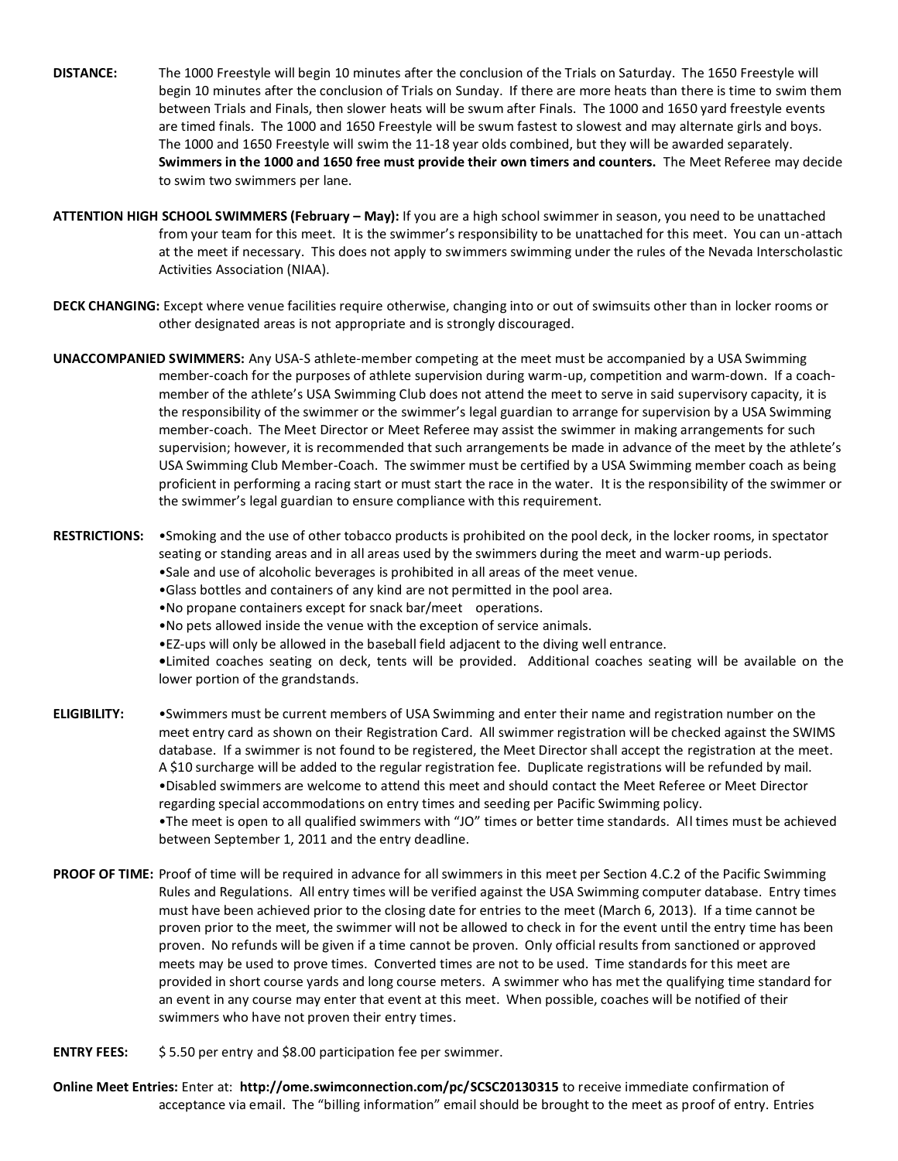- **DISTANCE:** The 1000 Freestyle will begin 10 minutes after the conclusion of the Trials on Saturday. The 1650 Freestyle will begin 10 minutes after the conclusion of Trials on Sunday. If there are more heats than there is time to swim them between Trials and Finals, then slower heats will be swum after Finals. The 1000 and 1650 yard freestyle events are timed finals. The 1000 and 1650 Freestyle will be swum fastest to slowest and may alternate girls and boys. The 1000 and 1650 Freestyle will swim the 11-18 year olds combined, but they will be awarded separately. **Swimmers in the 1000 and 1650 free must provide their own timers and counters.** The Meet Referee may decide to swim two swimmers per lane.
- **ATTENTION HIGH SCHOOL SWIMMERS (February – May):** If you are a high school swimmer in season, you need to be unattached from your team for this meet. It is the swimmer's responsibility to be unattached for this meet. You can un-attach at the meet if necessary. This does not apply to swimmers swimming under the rules of the Nevada Interscholastic Activities Association (NIAA).
- **DECK CHANGING:** Except where venue facilities require otherwise, changing into or out of swimsuits other than in locker rooms or other designated areas is not appropriate and is strongly discouraged.
- **UNACCOMPANIED SWIMMERS:** Any USA-S athlete-member competing at the meet must be accompanied by a USA Swimming member-coach for the purposes of athlete supervision during warm-up, competition and warm-down. If a coach member of the athlete's USA Swimming Club does not attend the meet to serve in said supervisory capacity, it is the responsibility of the swimmer or the swimmer's legal guardian to arrange for supervision by a USA Swimming member-coach. The Meet Director or Meet Referee may assist the swimmer in making arrangements for such supervision; however, it is recommended that such arrangements be made in advance of the meet by the athlete's USA Swimming Club Member-Coach. The swimmer must be certified by a USA Swimming member coach as being proficient in performing a racing start or must start the race in the water. It is the responsibility of the swimmer or the swimmer's legal guardian to ensure compliance with this requirement.
- **RESTRICTIONS:** •Smoking and the use of other tobacco products is prohibited on the pool deck, in the locker rooms, in spectator seating or standing areas and in all areas used by the swimmers during the meet and warm-up periods.
	- •Sale and use of alcoholic beverages is prohibited in all areas of the meet venue.
	- •Glass bottles and containers of any kind are not permitted in the pool area.
	- •No propane containers except for snack bar/meet operations.
	- •No pets allowed inside the venue with the exception of service animals.
	- •EZ-ups will only be allowed in the baseball field adjacent to the diving well entrance.
	- **•**Limited coaches seating on deck, tents will be provided. Additional coaches seating will be available on the lower portion of the grandstands.
- **ELIGIBILITY:** •Swimmers must be current members of USA Swimming and enter their name and registration number on the meet entry card as shown on their Registration Card. All swimmer registration will be checked against the SWIMS database. If a swimmer is not found to be registered, the Meet Director shall accept the registration at the meet. A \$10 surcharge will be added to the regular registration fee. Duplicate registrations will be refunded by mail. •Disabled swimmers are welcome to attend this meet and should contact the Meet Referee or Meet Director regarding special accommodations on entry times and seeding per Pacific Swimming policy. •The meet is open to all qualified swimmers with "JO" times or better time standards. All times must be achieved between September 1, 2011 and the entry deadline.
- **PROOF OF TIME:** Proof of time will be required in advance for all swimmers in this meet per Section 4.C.2 of the Pacific Swimming Rules and Regulations. All entry times will be verified against the USA Swimming computer database. Entry times must have been achieved prior to the closing date for entries to the meet (March 6, 2013). If a time cannot be proven prior to the meet, the swimmer will not be allowed to check in for the event until the entry time has been proven. No refunds will be given if a time cannot be proven. Only official results from sanctioned or approved meets may be used to prove times. Converted times are not to be used. Time standards for this meet are provided in short course yards and long course meters. A swimmer who has met the qualifying time standard for an event in any course may enter that event at this meet. When possible, coaches will be notified of their swimmers who have not proven their entry times.
- **ENTRY FEES:** \$ 5.50 per entry and \$8.00 participation fee per swimmer.
- **Online Meet Entries:** Enter at: **http://ome.swimconnection.com/pc/SCSC20130315** to receive immediate confirmation of acceptance via email. The "billing information" email should be brought to the meet as proof of entry. Entries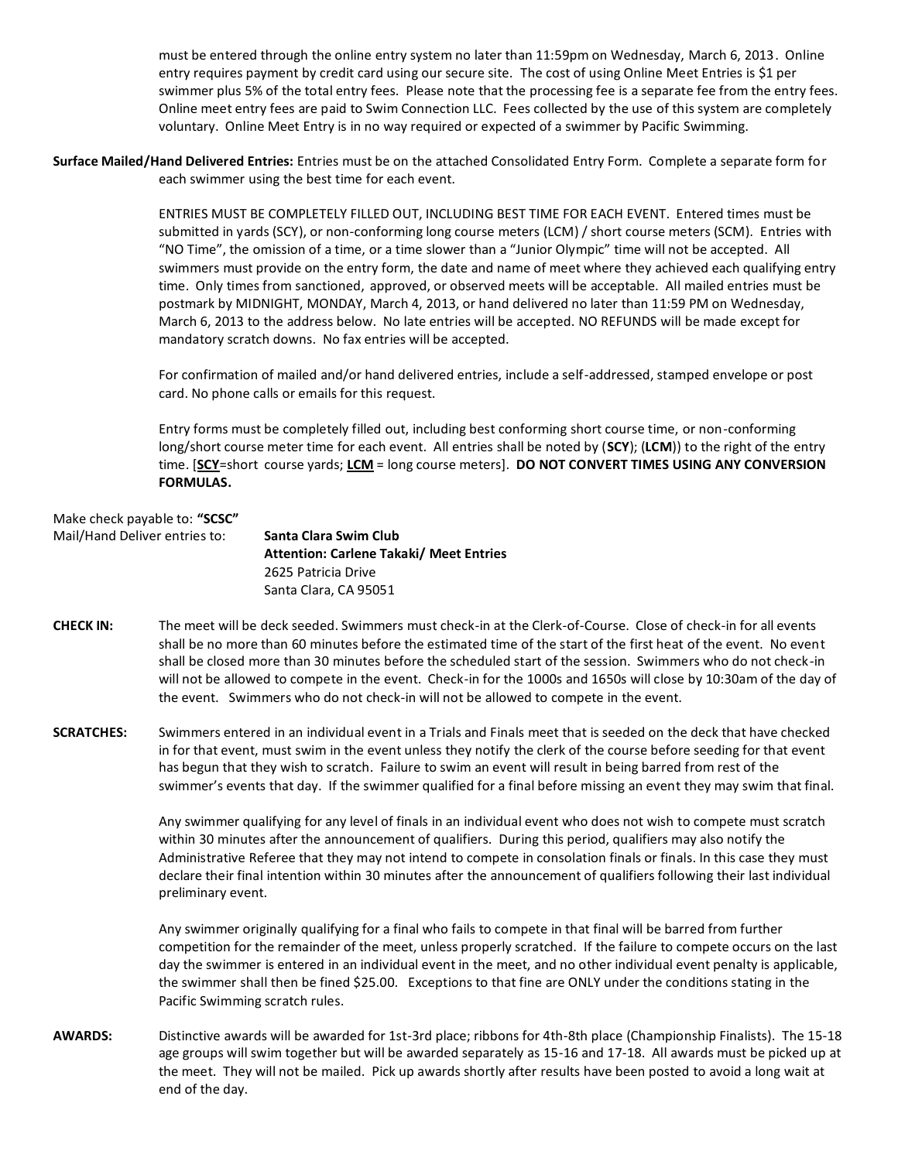must be entered through the online entry system no later than 11:59pm on Wednesday, March 6, 2013. Online entry requires payment by credit card using our secure site. The cost of using Online Meet Entries is \$1 per swimmer plus 5% of the total entry fees. Please note that the processing fee is a separate fee from the entry fees. Online meet entry fees are paid to Swim Connection LLC. Fees collected by the use of this system are completely voluntary. Online Meet Entry is in no way required or expected of a swimmer by Pacific Swimming.

**Surface Mailed/Hand Delivered Entries:** Entries must be on the attached Consolidated Entry Form. Complete a separate form for each swimmer using the best time for each event.

> ENTRIES MUST BE COMPLETELY FILLED OUT, INCLUDING BEST TIME FOR EACH EVENT. Entered times must be submitted in yards (SCY), or non-conforming long course meters (LCM) / short course meters (SCM). Entries with "NO Time", the omission of a time, or a time slower than a "Junior Olympic" time will not be accepted. All swimmers must provide on the entry form, the date and name of meet where they achieved each qualifying entry time. Only times from sanctioned, approved, or observed meets will be acceptable. All mailed entries must be postmark by MIDNIGHT, MONDAY, March 4, 2013, or hand delivered no later than 11:59 PM on Wednesday, March 6, 2013 to the address below. No late entries will be accepted. NO REFUNDS will be made except for mandatory scratch downs. No fax entries will be accepted.

 For confirmation of mailed and/or hand delivered entries, include a self-addressed, stamped envelope or post card. No phone calls or emails for this request.

 Entry forms must be completely filled out, including best conforming short course time, or non-conforming long/short course meter time for each event. All entries shall be noted by (**SCY**); (**LCM**)) to the right of the entry time. [**SCY**=short course yards; **LCM** = long course meters]. **DO NOT CONVERT TIMES USING ANY CONVERSION FORMULAS.**

| Make check payable to: "SCSC" |    |
|-------------------------------|----|
| Mail/Hand Deliver entries to: | S. |
|                               | Δ  |

Mail/Hand Deliver entries to: **Santa Clara Swim Club Attention: Carlene Takaki/ Meet Entries**  2625 Patricia Drive Santa Clara, CA 95051

- **CHECK IN:** The meet will be deck seeded. Swimmers must check-in at the Clerk-of-Course. Close of check-in for all events shall be no more than 60 minutes before the estimated time of the start of the first heat of the event. No event shall be closed more than 30 minutes before the scheduled start of the session. Swimmers who do not check-in will not be allowed to compete in the event. Check-in for the 1000s and 1650s will close by 10:30am of the day of the event. Swimmers who do not check-in will not be allowed to compete in the event.
- **SCRATCHES:** Swimmers entered in an individual event in a Trials and Finals meet that is seeded on the deck that have checked in for that event, must swim in the event unless they notify the clerk of the course before seeding for that event has begun that they wish to scratch. Failure to swim an event will result in being barred from rest of the swimmer's events that day. If the swimmer qualified for a final before missing an event they may swim that final.

 Any swimmer qualifying for any level of finals in an individual event who does not wish to compete must scratch within 30 minutes after the announcement of qualifiers. During this period, qualifiers may also notify the Administrative Referee that they may not intend to compete in consolation finals or finals. In this case they must declare their final intention within 30 minutes after the announcement of qualifiers following their last individual preliminary event.

 Any swimmer originally qualifying for a final who fails to compete in that final will be barred from further competition for the remainder of the meet, unless properly scratched. If the failure to compete occurs on the last day the swimmer is entered in an individual event in the meet, and no other individual event penalty is applicable, the swimmer shall then be fined \$25.00. Exceptions to that fine are ONLY under the conditions stating in the Pacific Swimming scratch rules.

**AWARDS:** Distinctive awards will be awarded for 1st-3rd place; ribbons for 4th-8th place (Championship Finalists). The 15-18 age groups will swim together but will be awarded separately as 15-16 and 17-18. All awards must be picked up at the meet. They will not be mailed. Pick up awards shortly after results have been posted to avoid a long wait at end of the day.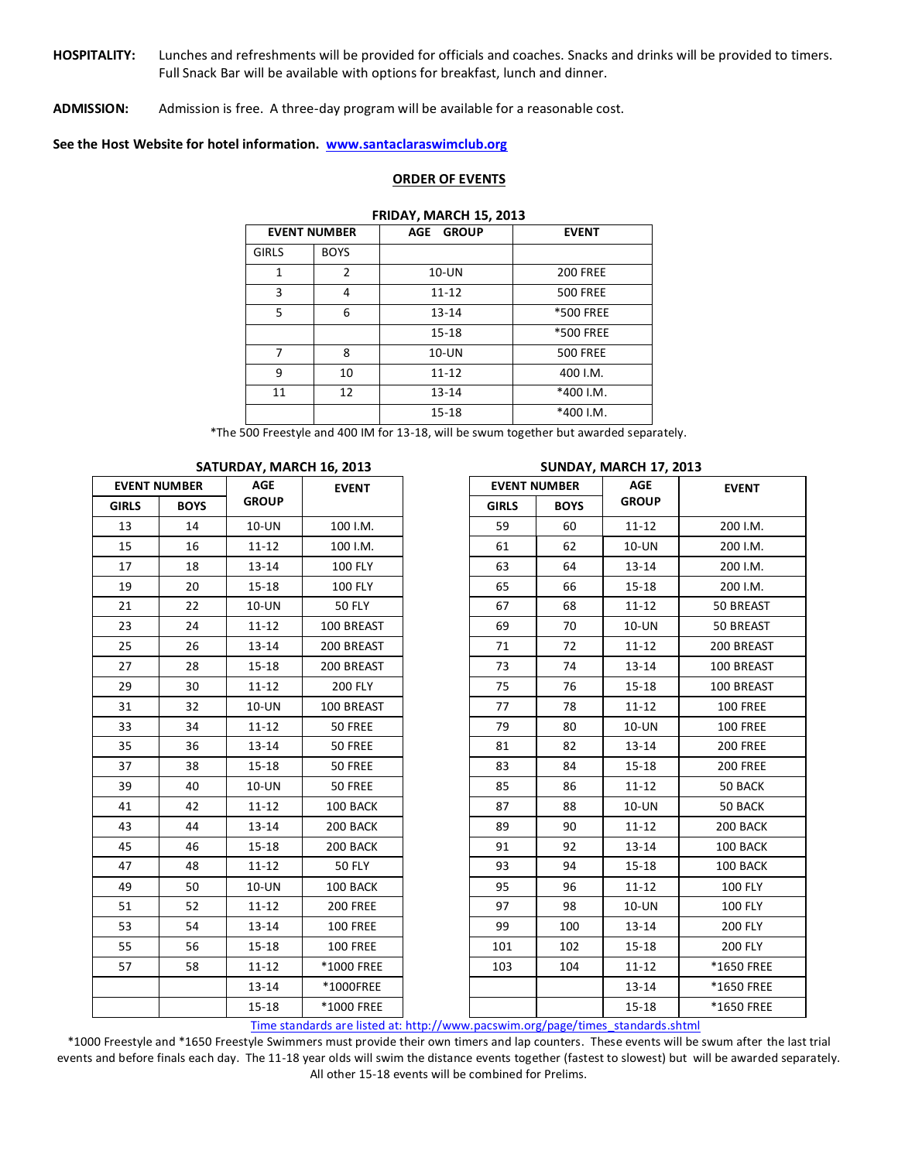**HOSPITALITY:** Lunches and refreshments will be provided for officials and coaches. Snacks and drinks will be provided to timers. Full Snack Bar will be available with options for breakfast, lunch and dinner.

**ADMISSION:** Admission is free. A three-day program will be available for a reasonable cost.

**See the Host Website for hotel information. [www.santaclaraswimclub.org](http://www.santaclaraswimclub.org/)** 

### **ORDER OF EVENTS**

### **FRIDAY, MARCH 15, 2013**

| <b>EVENT NUMBER</b> |             | <b>GROUP</b><br>AGE | <b>EVENT</b>    |  |
|---------------------|-------------|---------------------|-----------------|--|
| <b>GIRLS</b>        | <b>BOYS</b> |                     |                 |  |
| 1                   | 2           | $10$ -UN            | <b>200 FREE</b> |  |
| 3                   | 4           | $11 - 12$           | <b>500 FREE</b> |  |
| 5                   | 6           | $13 - 14$           | *500 FREE       |  |
|                     |             | $15 - 18$           | *500 FREE       |  |
| 7                   | 8           | $10$ -UN            | <b>500 FREE</b> |  |
| 9                   | 10          | $11 - 12$           | 400 I.M.        |  |
| 11                  | 12          | $13 - 14$           | *400 I.M.       |  |
|                     |             | $15 - 18$           | *400 I.M.       |  |

\*The 500 Freestyle and 400 IM for 13-18, will be swum together but awarded separately.

| <b>EVENT NUMBER</b> |             | AGE<br><b>EVENT</b> |                 | <b>EVENT NUMBER</b> | AGE         | <b>EVENT</b> |                 |
|---------------------|-------------|---------------------|-----------------|---------------------|-------------|--------------|-----------------|
| <b>GIRLS</b>        | <b>BOYS</b> | <b>GROUP</b>        |                 | <b>GIRLS</b>        | <b>BOYS</b> | <b>GROUP</b> |                 |
| 13                  | 14          | 10-UN               | 100 I.M.        | 59                  | 60          | $11 - 12$    | 200 I.M.        |
| 15                  | 16          | $11 - 12$           | 100 I.M.        | 61                  | 62          | 10-UN        | 200 I.M.        |
| 17                  | 18          | $13 - 14$           | <b>100 FLY</b>  | 63                  | 64          | $13 - 14$    | 200 I.M.        |
| 19                  | 20          | $15 - 18$           | <b>100 FLY</b>  | 65                  | 66          | $15 - 18$    | 200 I.M.        |
| 21                  | 22          | 10-UN               | <b>50 FLY</b>   | 67                  | 68          | $11 - 12$    | 50 BREAST       |
| 23                  | 24          | $11 - 12$           | 100 BREAST      | 69                  | 70          | 10-UN        | 50 BREAST       |
| 25                  | 26          | 13-14               | 200 BREAST      | 71                  | 72          | $11 - 12$    | 200 BREAST      |
| 27                  | 28          | $15 - 18$           | 200 BREAST      | 73                  | 74          | $13 - 14$    | 100 BREAST      |
| 29                  | 30          | $11 - 12$           | <b>200 FLY</b>  | 75                  | 76          | $15 - 18$    | 100 BREAST      |
| 31                  | 32          | $10$ -UN            | 100 BREAST      | 77                  | 78          | $11 - 12$    | <b>100 FREE</b> |
| 33                  | 34          | $11 - 12$           | 50 FREE         | 79                  | 80          | 10-UN        | <b>100 FREE</b> |
| 35                  | 36          | $13 - 14$           | 50 FREE         | 81                  | 82          | $13 - 14$    | <b>200 FREE</b> |
| 37                  | 38          | $15 - 18$           | 50 FREE         | 83                  | 84          | $15 - 18$    | <b>200 FREE</b> |
| 39                  | 40          | 10-UN               | 50 FREE         | 85                  | 86          | $11 - 12$    | 50 BACK         |
| 41                  | 42          | $11 - 12$           | 100 BACK        | 87                  | 88          | 10-UN        | 50 BACK         |
| 43                  | 44          | 13-14               | 200 BACK        | 89                  | 90          | $11 - 12$    | 200 BACK        |
| 45                  | 46          | $15 - 18$           | 200 BACK        | 91                  | 92          | $13 - 14$    | 100 BACK        |
| 47                  | 48          | $11 - 12$           | <b>50 FLY</b>   | 93                  | 94          | $15 - 18$    | 100 BACK        |
| 49                  | 50          | $10$ -UN            | 100 BACK        | 95                  | 96          | $11 - 12$    | <b>100 FLY</b>  |
| 51                  | 52          | $11 - 12$           | <b>200 FREE</b> | 97                  | 98          | 10-UN        | <b>100 FLY</b>  |
| 53                  | 54          | $13 - 14$           | <b>100 FREE</b> | 99                  | 100         | $13 - 14$    | <b>200 FLY</b>  |
| 55                  | 56          | $15 - 18$           | <b>100 FREE</b> | 101                 | 102         | $15 - 18$    | <b>200 FLY</b>  |
| 57                  | 58          | $11 - 12$           | *1000 FREE      | 103                 | 104         | $11 - 12$    | *1650 FREE      |
|                     |             | $13 - 14$           | *1000FREE       |                     |             | 13-14        | *1650 FREE      |
|                     |             | $15 - 18$           | *1000 FREE      |                     |             | $15 - 18$    | *1650 FREE      |

#### **SATURDAY, MARCH 16, 2013 SUNDAY, MARCH 17, 2013**

[Time standards are listed at: http://www.pacswim.org/page/times\\_standards.shtml](../AppData/Local/AppData/Local/AppData/Local/Microsoft/Windows/Temporary%20Internet%20Files/Content.Outlook/AppData/Local/Microsoft/Windows/Temporary%20Internet%20Files/Content.Outlook/V01WP1D7/Downloads/Time%20standards%20are%20listed%20at:%20http:/www.pacswim.org/page/times_standards.shtml) 

\*1000 Freestyle and \*1650 Freestyle Swimmers must provide their own timers and lap counters. These events will be swum after the last trial events and before finals each day. The 11-18 year olds will swim the distance events together (fastest to slowest) but will be awarded separately. All other 15-18 events will be combined for Prelims.